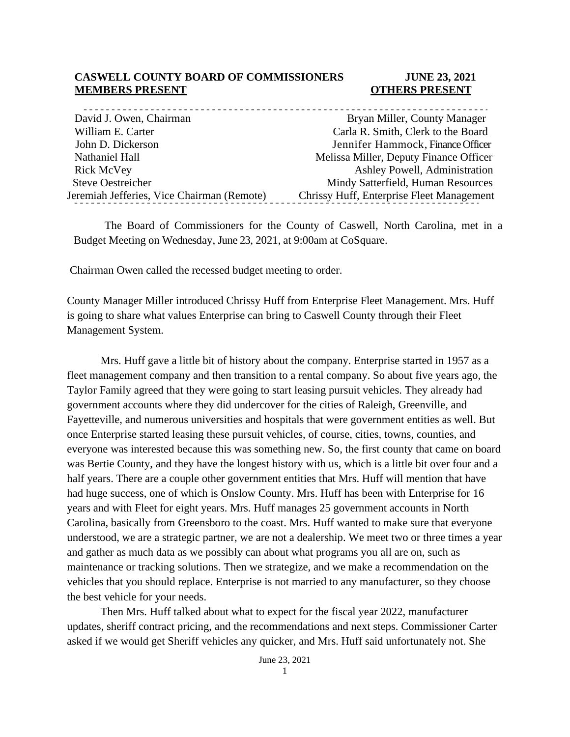#### **CASWELL COUNTY BOARD OF COMMISSIONERS JUNE 23, 2021 MEMBERS PRESENT COTHERS PRESENT**

| David J. Owen, Chairman                    | Bryan Miller, County Manager              |
|--------------------------------------------|-------------------------------------------|
| William E. Carter                          | Carla R. Smith, Clerk to the Board        |
| John D. Dickerson                          | Jennifer Hammock, Finance Officer         |
| Nathaniel Hall                             | Melissa Miller, Deputy Finance Officer    |
| Rick McVey                                 | Ashley Powell, Administration             |
| <b>Steve Oestreicher</b>                   | Mindy Satterfield, Human Resources        |
| Jeremiah Jefferies, Vice Chairman (Remote) | Chrissy Huff, Enterprise Fleet Management |
|                                            |                                           |

The Board of Commissioners for the County of Caswell, North Carolina, met in a Budget Meeting on Wednesday, June 23, 2021, at 9:00am at CoSquare.

Chairman Owen called the recessed budget meeting to order.

County Manager Miller introduced Chrissy Huff from Enterprise Fleet Management. Mrs. Huff is going to share what values Enterprise can bring to Caswell County through their Fleet Management System.

Mrs. Huff gave a little bit of history about the company. Enterprise started in 1957 as a fleet management company and then transition to a rental company. So about five years ago, the Taylor Family agreed that they were going to start leasing pursuit vehicles. They already had government accounts where they did undercover for the cities of Raleigh, Greenville, and Fayetteville, and numerous universities and hospitals that were government entities as well. But once Enterprise started leasing these pursuit vehicles, of course, cities, towns, counties, and everyone was interested because this was something new. So, the first county that came on board was Bertie County, and they have the longest history with us, which is a little bit over four and a half years. There are a couple other government entities that Mrs. Huff will mention that have had huge success, one of which is Onslow County. Mrs. Huff has been with Enterprise for 16 years and with Fleet for eight years. Mrs. Huff manages 25 government accounts in North Carolina, basically from Greensboro to the coast. Mrs. Huff wanted to make sure that everyone understood, we are a strategic partner, we are not a dealership. We meet two or three times a year and gather as much data as we possibly can about what programs you all are on, such as maintenance or tracking solutions. Then we strategize, and we make a recommendation on the vehicles that you should replace. Enterprise is not married to any manufacturer, so they choose the best vehicle for your needs.

Then Mrs. Huff talked about what to expect for the fiscal year 2022, manufacturer updates, sheriff contract pricing, and the recommendations and next steps. Commissioner Carter asked if we would get Sheriff vehicles any quicker, and Mrs. Huff said unfortunately not. She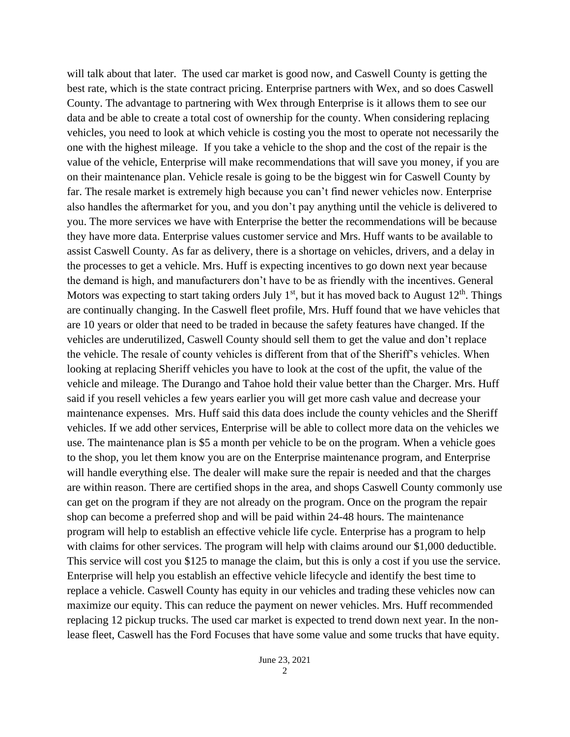will talk about that later. The used car market is good now, and Caswell County is getting the best rate, which is the state contract pricing. Enterprise partners with Wex, and so does Caswell County. The advantage to partnering with Wex through Enterprise is it allows them to see our data and be able to create a total cost of ownership for the county. When considering replacing vehicles, you need to look at which vehicle is costing you the most to operate not necessarily the one with the highest mileage. If you take a vehicle to the shop and the cost of the repair is the value of the vehicle, Enterprise will make recommendations that will save you money, if you are on their maintenance plan. Vehicle resale is going to be the biggest win for Caswell County by far. The resale market is extremely high because you can't find newer vehicles now. Enterprise also handles the aftermarket for you, and you don't pay anything until the vehicle is delivered to you. The more services we have with Enterprise the better the recommendations will be because they have more data. Enterprise values customer service and Mrs. Huff wants to be available to assist Caswell County. As far as delivery, there is a shortage on vehicles, drivers, and a delay in the processes to get a vehicle. Mrs. Huff is expecting incentives to go down next year because the demand is high, and manufacturers don't have to be as friendly with the incentives. General Motors was expecting to start taking orders July  $1<sup>st</sup>$ , but it has moved back to August  $12<sup>th</sup>$ . Things are continually changing. In the Caswell fleet profile, Mrs. Huff found that we have vehicles that are 10 years or older that need to be traded in because the safety features have changed. If the vehicles are underutilized, Caswell County should sell them to get the value and don't replace the vehicle. The resale of county vehicles is different from that of the Sheriff's vehicles. When looking at replacing Sheriff vehicles you have to look at the cost of the upfit, the value of the vehicle and mileage. The Durango and Tahoe hold their value better than the Charger. Mrs. Huff said if you resell vehicles a few years earlier you will get more cash value and decrease your maintenance expenses. Mrs. Huff said this data does include the county vehicles and the Sheriff vehicles. If we add other services, Enterprise will be able to collect more data on the vehicles we use. The maintenance plan is \$5 a month per vehicle to be on the program. When a vehicle goes to the shop, you let them know you are on the Enterprise maintenance program, and Enterprise will handle everything else. The dealer will make sure the repair is needed and that the charges are within reason. There are certified shops in the area, and shops Caswell County commonly use can get on the program if they are not already on the program. Once on the program the repair shop can become a preferred shop and will be paid within 24-48 hours. The maintenance program will help to establish an effective vehicle life cycle. Enterprise has a program to help with claims for other services. The program will help with claims around our \$1,000 deductible. This service will cost you \$125 to manage the claim, but this is only a cost if you use the service. Enterprise will help you establish an effective vehicle lifecycle and identify the best time to replace a vehicle. Caswell County has equity in our vehicles and trading these vehicles now can maximize our equity. This can reduce the payment on newer vehicles. Mrs. Huff recommended replacing 12 pickup trucks. The used car market is expected to trend down next year. In the nonlease fleet, Caswell has the Ford Focuses that have some value and some trucks that have equity.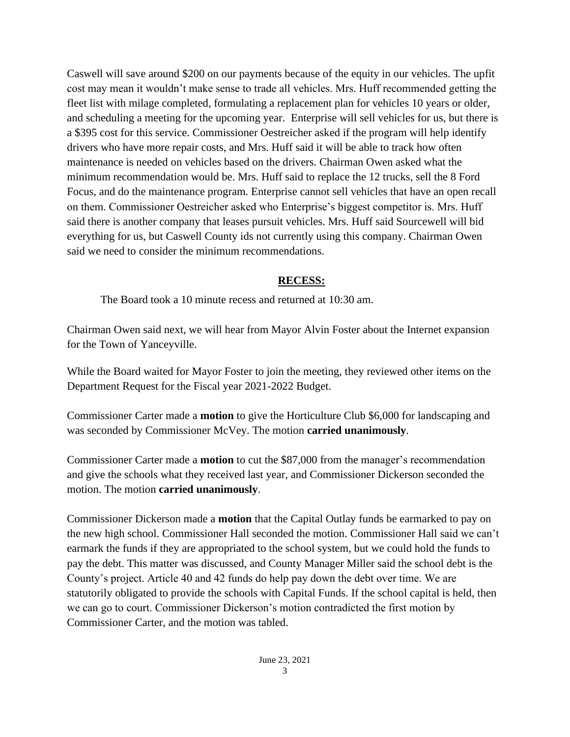Caswell will save around \$200 on our payments because of the equity in our vehicles. The upfit cost may mean it wouldn't make sense to trade all vehicles. Mrs. Huff recommended getting the fleet list with milage completed, formulating a replacement plan for vehicles 10 years or older, and scheduling a meeting for the upcoming year. Enterprise will sell vehicles for us, but there is a \$395 cost for this service. Commissioner Oestreicher asked if the program will help identify drivers who have more repair costs, and Mrs. Huff said it will be able to track how often maintenance is needed on vehicles based on the drivers. Chairman Owen asked what the minimum recommendation would be. Mrs. Huff said to replace the 12 trucks, sell the 8 Ford Focus, and do the maintenance program. Enterprise cannot sell vehicles that have an open recall on them. Commissioner Oestreicher asked who Enterprise's biggest competitor is. Mrs. Huff said there is another company that leases pursuit vehicles. Mrs. Huff said Sourcewell will bid everything for us, but Caswell County ids not currently using this company. Chairman Owen said we need to consider the minimum recommendations.

## **RECESS:**

The Board took a 10 minute recess and returned at 10:30 am.

Chairman Owen said next, we will hear from Mayor Alvin Foster about the Internet expansion for the Town of Yanceyville.

While the Board waited for Mayor Foster to join the meeting, they reviewed other items on the Department Request for the Fiscal year 2021-2022 Budget.

Commissioner Carter made a **motion** to give the Horticulture Club \$6,000 for landscaping and was seconded by Commissioner McVey. The motion **carried unanimously**.

Commissioner Carter made a **motion** to cut the \$87,000 from the manager's recommendation and give the schools what they received last year, and Commissioner Dickerson seconded the motion. The motion **carried unanimously**.

Commissioner Dickerson made a **motion** that the Capital Outlay funds be earmarked to pay on the new high school. Commissioner Hall seconded the motion. Commissioner Hall said we can't earmark the funds if they are appropriated to the school system, but we could hold the funds to pay the debt. This matter was discussed, and County Manager Miller said the school debt is the County's project. Article 40 and 42 funds do help pay down the debt over time. We are statutorily obligated to provide the schools with Capital Funds. If the school capital is held, then we can go to court. Commissioner Dickerson's motion contradicted the first motion by Commissioner Carter, and the motion was tabled.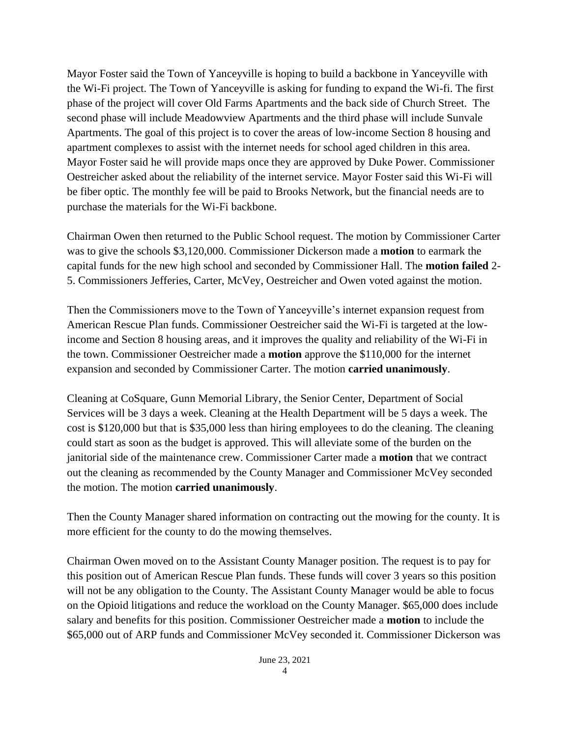Mayor Foster said the Town of Yanceyville is hoping to build a backbone in Yanceyville with the Wi-Fi project. The Town of Yanceyville is asking for funding to expand the Wi-fi. The first phase of the project will cover Old Farms Apartments and the back side of Church Street. The second phase will include Meadowview Apartments and the third phase will include Sunvale Apartments. The goal of this project is to cover the areas of low-income Section 8 housing and apartment complexes to assist with the internet needs for school aged children in this area. Mayor Foster said he will provide maps once they are approved by Duke Power. Commissioner Oestreicher asked about the reliability of the internet service. Mayor Foster said this Wi-Fi will be fiber optic. The monthly fee will be paid to Brooks Network, but the financial needs are to purchase the materials for the Wi-Fi backbone.

Chairman Owen then returned to the Public School request. The motion by Commissioner Carter was to give the schools \$3,120,000. Commissioner Dickerson made a **motion** to earmark the capital funds for the new high school and seconded by Commissioner Hall. The **motion failed** 2- 5. Commissioners Jefferies, Carter, McVey, Oestreicher and Owen voted against the motion.

Then the Commissioners move to the Town of Yanceyville's internet expansion request from American Rescue Plan funds. Commissioner Oestreicher said the Wi-Fi is targeted at the lowincome and Section 8 housing areas, and it improves the quality and reliability of the Wi-Fi in the town. Commissioner Oestreicher made a **motion** approve the \$110,000 for the internet expansion and seconded by Commissioner Carter. The motion **carried unanimously**.

Cleaning at CoSquare, Gunn Memorial Library, the Senior Center, Department of Social Services will be 3 days a week. Cleaning at the Health Department will be 5 days a week. The cost is \$120,000 but that is \$35,000 less than hiring employees to do the cleaning. The cleaning could start as soon as the budget is approved. This will alleviate some of the burden on the janitorial side of the maintenance crew. Commissioner Carter made a **motion** that we contract out the cleaning as recommended by the County Manager and Commissioner McVey seconded the motion. The motion **carried unanimously**.

Then the County Manager shared information on contracting out the mowing for the county. It is more efficient for the county to do the mowing themselves.

Chairman Owen moved on to the Assistant County Manager position. The request is to pay for this position out of American Rescue Plan funds. These funds will cover 3 years so this position will not be any obligation to the County. The Assistant County Manager would be able to focus on the Opioid litigations and reduce the workload on the County Manager. \$65,000 does include salary and benefits for this position. Commissioner Oestreicher made a **motion** to include the \$65,000 out of ARP funds and Commissioner McVey seconded it. Commissioner Dickerson was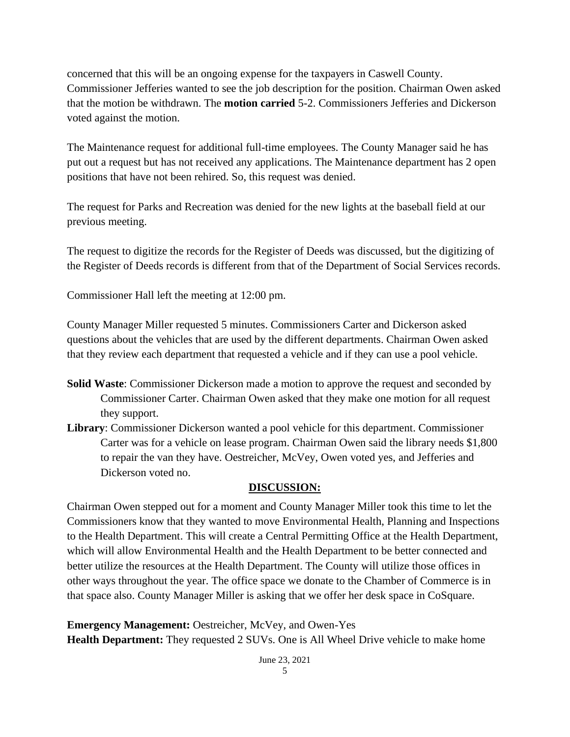concerned that this will be an ongoing expense for the taxpayers in Caswell County. Commissioner Jefferies wanted to see the job description for the position. Chairman Owen asked that the motion be withdrawn. The **motion carried** 5-2. Commissioners Jefferies and Dickerson voted against the motion.

The Maintenance request for additional full-time employees. The County Manager said he has put out a request but has not received any applications. The Maintenance department has 2 open positions that have not been rehired. So, this request was denied.

The request for Parks and Recreation was denied for the new lights at the baseball field at our previous meeting.

The request to digitize the records for the Register of Deeds was discussed, but the digitizing of the Register of Deeds records is different from that of the Department of Social Services records.

Commissioner Hall left the meeting at 12:00 pm.

County Manager Miller requested 5 minutes. Commissioners Carter and Dickerson asked questions about the vehicles that are used by the different departments. Chairman Owen asked that they review each department that requested a vehicle and if they can use a pool vehicle.

- **Solid Waste**: Commissioner Dickerson made a motion to approve the request and seconded by Commissioner Carter. Chairman Owen asked that they make one motion for all request they support.
- **Library**: Commissioner Dickerson wanted a pool vehicle for this department. Commissioner Carter was for a vehicle on lease program. Chairman Owen said the library needs \$1,800 to repair the van they have. Oestreicher, McVey, Owen voted yes, and Jefferies and Dickerson voted no.

#### **DISCUSSION:**

Chairman Owen stepped out for a moment and County Manager Miller took this time to let the Commissioners know that they wanted to move Environmental Health, Planning and Inspections to the Health Department. This will create a Central Permitting Office at the Health Department, which will allow Environmental Health and the Health Department to be better connected and better utilize the resources at the Health Department. The County will utilize those offices in other ways throughout the year. The office space we donate to the Chamber of Commerce is in that space also. County Manager Miller is asking that we offer her desk space in CoSquare.

**Emergency Management:** Oestreicher, McVey, and Owen-Yes **Health Department:** They requested 2 SUVs. One is All Wheel Drive vehicle to make home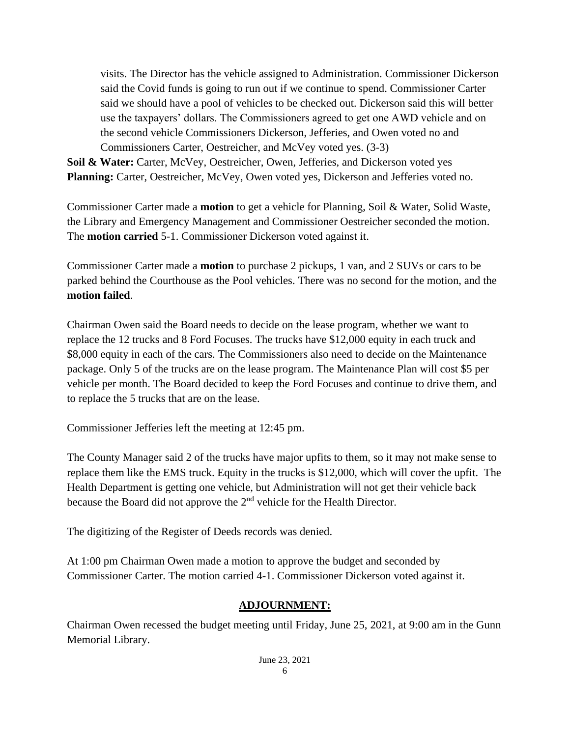visits. The Director has the vehicle assigned to Administration. Commissioner Dickerson said the Covid funds is going to run out if we continue to spend. Commissioner Carter said we should have a pool of vehicles to be checked out. Dickerson said this will better use the taxpayers' dollars. The Commissioners agreed to get one AWD vehicle and on the second vehicle Commissioners Dickerson, Jefferies, and Owen voted no and Commissioners Carter, Oestreicher, and McVey voted yes. (3-3)

**Soil & Water:** Carter, McVey, Oestreicher, Owen, Jefferies, and Dickerson voted yes **Planning:** Carter, Oestreicher, McVey, Owen voted yes, Dickerson and Jefferies voted no.

Commissioner Carter made a **motion** to get a vehicle for Planning, Soil & Water, Solid Waste, the Library and Emergency Management and Commissioner Oestreicher seconded the motion. The **motion carried** 5-1. Commissioner Dickerson voted against it.

Commissioner Carter made a **motion** to purchase 2 pickups, 1 van, and 2 SUVs or cars to be parked behind the Courthouse as the Pool vehicles. There was no second for the motion, and the **motion failed**.

Chairman Owen said the Board needs to decide on the lease program, whether we want to replace the 12 trucks and 8 Ford Focuses. The trucks have \$12,000 equity in each truck and \$8,000 equity in each of the cars. The Commissioners also need to decide on the Maintenance package. Only 5 of the trucks are on the lease program. The Maintenance Plan will cost \$5 per vehicle per month. The Board decided to keep the Ford Focuses and continue to drive them, and to replace the 5 trucks that are on the lease.

Commissioner Jefferies left the meeting at 12:45 pm.

The County Manager said 2 of the trucks have major upfits to them, so it may not make sense to replace them like the EMS truck. Equity in the trucks is \$12,000, which will cover the upfit. The Health Department is getting one vehicle, but Administration will not get their vehicle back because the Board did not approve the 2nd vehicle for the Health Director.

The digitizing of the Register of Deeds records was denied.

At 1:00 pm Chairman Owen made a motion to approve the budget and seconded by Commissioner Carter. The motion carried 4-1. Commissioner Dickerson voted against it.

### **ADJOURNMENT:**

Chairman Owen recessed the budget meeting until Friday, June 25, 2021, at 9:00 am in the Gunn Memorial Library.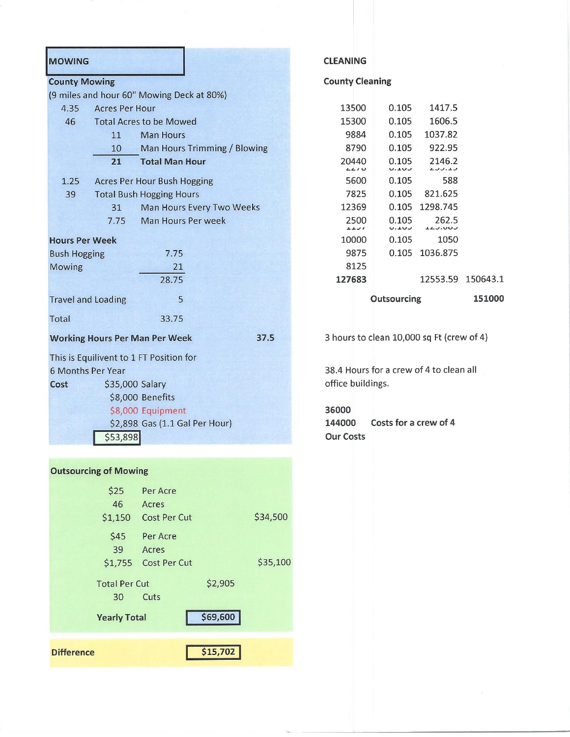| <b>MOWING</b>                                 |                       |                                           |                              |                                           |                                 | <b>CLEANING</b>     |                 |  |                  |                   |
|-----------------------------------------------|-----------------------|-------------------------------------------|------------------------------|-------------------------------------------|---------------------------------|---------------------|-----------------|--|------------------|-------------------|
| <b>County Mowing</b>                          |                       |                                           |                              |                                           | <b>County Cleaning</b>          |                     |                 |  |                  |                   |
|                                               |                       | (9 miles and hour 60" Mowing Deck at 80%) |                              |                                           |                                 |                     |                 |  |                  |                   |
| 4.35                                          | <b>Acres Per Hour</b> |                                           |                              |                                           |                                 | 13500               | 0.105           |  | 1417.5           |                   |
| 46                                            |                       | <b>Total Acres to be Mowed</b>            |                              |                                           |                                 | 15300               | 0.105           |  | 1606.5           |                   |
|                                               | 11                    | <b>Man Hours</b>                          |                              |                                           |                                 | 9884                | 0.105           |  | 1037.82          |                   |
|                                               | 10                    |                                           | Man Hours Trimming / Blowing |                                           |                                 | 8790                | 0.105           |  | 922.95           |                   |
|                                               | 21                    | <b>Total Man Hour</b>                     |                              |                                           |                                 | 20440<br>2210       | 0.105<br>U.L.UJ |  | 2146.2<br>1.1.1  |                   |
| 1.25                                          |                       | Acres Per Hour Bush Hogging               |                              |                                           |                                 | 5600                | 0.105           |  | 588              |                   |
| 39                                            |                       | <b>Total Bush Hogging Hours</b>           |                              |                                           |                                 | 7825                | 0.105           |  | 821.625          |                   |
|                                               | 31                    |                                           | Man Hours Every Two Weeks    |                                           |                                 | 12369               | 0.105           |  | 1298.745         |                   |
|                                               | 7.75                  | Man Hours Per week                        |                              |                                           |                                 | 2500<br><b>LLJI</b> | 0.105<br>U.LUJ  |  | 262.5<br>LLJ.UUJ |                   |
| <b>Hours Per Week</b>                         |                       |                                           |                              |                                           |                                 | 10000               | 0.105           |  | 1050             |                   |
| <b>Bush Hogging</b><br>7.75                   |                       |                                           |                              |                                           |                                 | 9875                |                 |  | 0.105 1036.875   |                   |
| <b>Mowing</b>                                 |                       | 21                                        |                              |                                           |                                 | 8125                |                 |  |                  |                   |
|                                               |                       | 28.75                                     |                              |                                           |                                 | 127683              |                 |  |                  | 12553.59 150643.1 |
| 5<br><b>Travel and Loading</b>                |                       |                                           |                              |                                           |                                 | Outsourcing         |                 |  |                  | 151000            |
| Total                                         |                       | 33.75                                     |                              |                                           |                                 |                     |                 |  |                  |                   |
| <b>Working Hours Per Man Per Week</b><br>37.5 |                       |                                           |                              | 3 hours to clean 10,000 sq Ft (crew of 4) |                                 |                     |                 |  |                  |                   |
|                                               |                       | This is Equilivent to 1 FT Position for   |                              |                                           |                                 |                     |                 |  |                  |                   |
| <b>6 Months Per Year</b>                      |                       |                                           |                              | 38.4 Hours for a crew of 4 to clean all   |                                 |                     |                 |  |                  |                   |
| \$35,000 Salary<br>Cost                       |                       |                                           |                              | office buildings.                         |                                 |                     |                 |  |                  |                   |
|                                               |                       | \$8,000 Benefits                          |                              |                                           |                                 |                     |                 |  |                  |                   |
|                                               |                       | \$8,000 Equipment                         |                              |                                           |                                 | 36000               |                 |  |                  |                   |
| \$2,898 Gas (1.1 Gal Per Hour)                |                       |                                           |                              |                                           | Costs for a crew of 4<br>144000 |                     |                 |  |                  |                   |
|                                               | \$53,898              |                                           |                              |                                           |                                 | <b>Our Costs</b>    |                 |  |                  |                   |
|                                               |                       |                                           |                              |                                           |                                 |                     |                 |  |                  |                   |
|                                               |                       |                                           |                              |                                           |                                 |                     |                 |  |                  |                   |

#### **Outsourcing of Mowing**

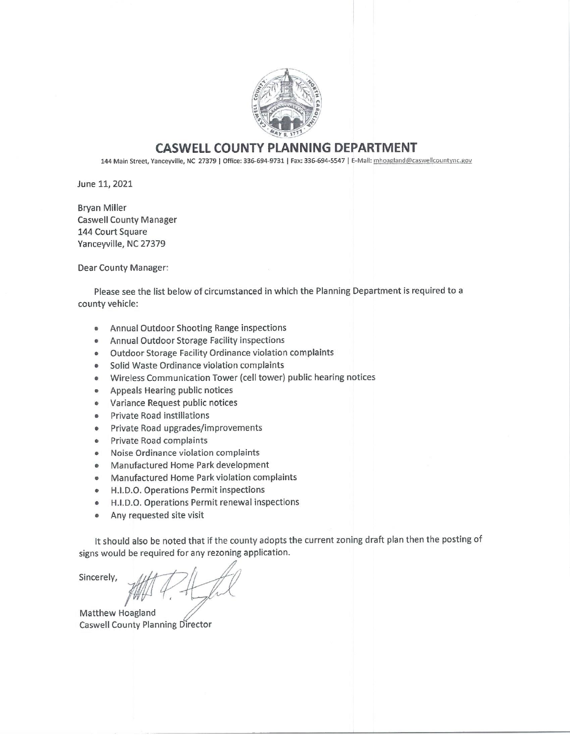

#### **CASWELL COUNTY PLANNING DEPARTMENT**

144 Main Street, Yanceyville, NC 27379 | Office: 336-694-9731 | Fax: 336-694-5547 | E-Mail: mhoagland@caswellcountync.gov

June 11, 2021

**Bryan Miller Caswell County Manager** 144 Court Square Yanceyville, NC 27379

Dear County Manager:

Please see the list below of circumstanced in which the Planning Department is required to a county vehicle:

- Annual Outdoor Shooting Range inspections  $\bullet$
- Annual Outdoor Storage Facility inspections  $\bullet$
- Outdoor Storage Facility Ordinance violation complaints
- Solid Waste Ordinance violation complaints  $\bullet$
- Wireless Communication Tower (cell tower) public hearing notices  $\bullet$
- Appeals Hearing public notices
- Variance Request public notices
- **Private Road instillations**
- Private Road upgrades/improvements  $\bullet$
- Private Road complaints
- Noise Ordinance violation complaints  $\bullet$
- Manufactured Home Park development
- Manufactured Home Park violation complaints  $\bullet$
- H.I.D.O. Operations Permit inspections  $\bullet$
- H.I.D.O. Operations Permit renewal inspections  $\bullet$
- Any requested site visit  $\bullet$

It should also be noted that if the county adopts the current zoning draft plan then the posting of signs would be required for any rezoning application.

Sincerely,

Matthew Hoagland Caswell County Planning Director